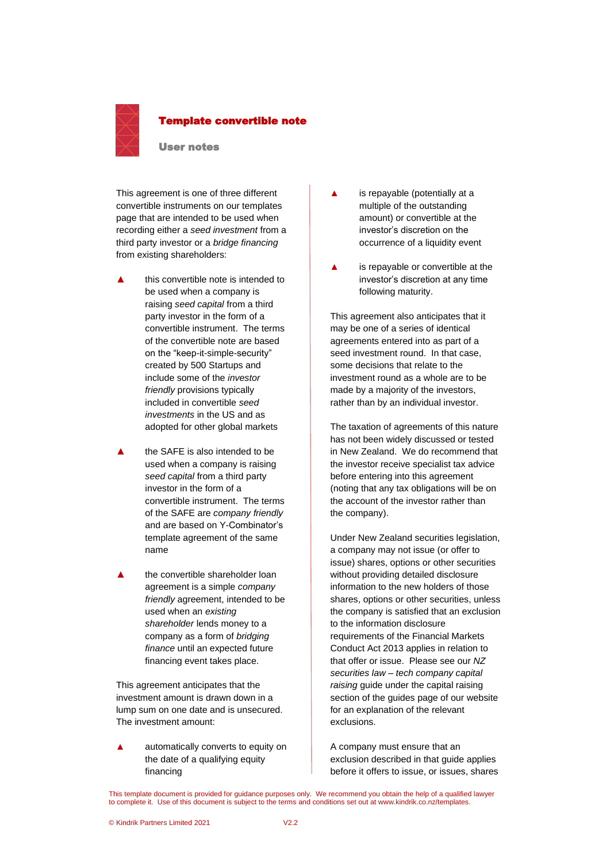

#### Template convertible note

#### User notes

This agreement is one of three different convertible instruments on our templates page that are intended to be used when recording either a *seed investment* from a third party investor or a *bridge financing* from existing shareholders:

- **▲** this convertible note is intended to be used when a company is raising *seed capital* from a third party investor in the form of a convertible instrument. The terms of the convertible note are based on the "keep-it-simple-security" created by 500 Startups and include some of the *investor friendly* provisions typically included in convertible *seed investments* in the US and as adopted for other global markets
- the SAFE is also intended to be used when a company is raising *seed capital* from a third party investor in the form of a convertible instrument. The terms of the SAFE are *company friendly* and are based on Y-Combinator's template agreement of the same name
- the convertible shareholder loan agreement is a simple *company friendly* agreement, intended to be used when an *existing shareholder* lends money to a company as a form of *bridging finance* until an expected future financing event takes place.

This agreement anticipates that the investment amount is drawn down in a lump sum on one date and is unsecured. The investment amount:

**▲** automatically converts to equity on the date of a qualifying equity financing

- **▲** is repayable (potentially at a multiple of the outstanding amount) or convertible at the investor's discretion on the occurrence of a liquidity event
- is repayable or convertible at the investor's discretion at any time following maturity.

This agreement also anticipates that it may be one of a series of identical agreements entered into as part of a seed investment round. In that case, some decisions that relate to the investment round as a whole are to be made by a majority of the investors, rather than by an individual investor.

The taxation of agreements of this nature has not been widely discussed or tested in New Zealand. We do recommend that the investor receive specialist tax advice before entering into this agreement (noting that any tax obligations will be on the account of the investor rather than the company).

Under New Zealand securities legislation, a company may not issue (or offer to issue) shares, options or other securities without providing detailed disclosure information to the new holders of those shares, options or other securities, unless the company is satisfied that an exclusion to the information disclosure requirements of the Financial Markets Conduct Act 2013 applies in relation to that offer or issue. Please see our *NZ securities law – tech company capital raising* guide under the capital raising section of the guides page of our website for an explanation of the relevant exclusions.

A company must ensure that an exclusion described in that guide applies before it offers to issue, or issues, shares

This template document is provided for guidance purposes only. We recommend you obtain the help of a qualified lawyer to complete it. Use of this document is subject to the terms and conditions set out at www.kindrik.co.nz/templates.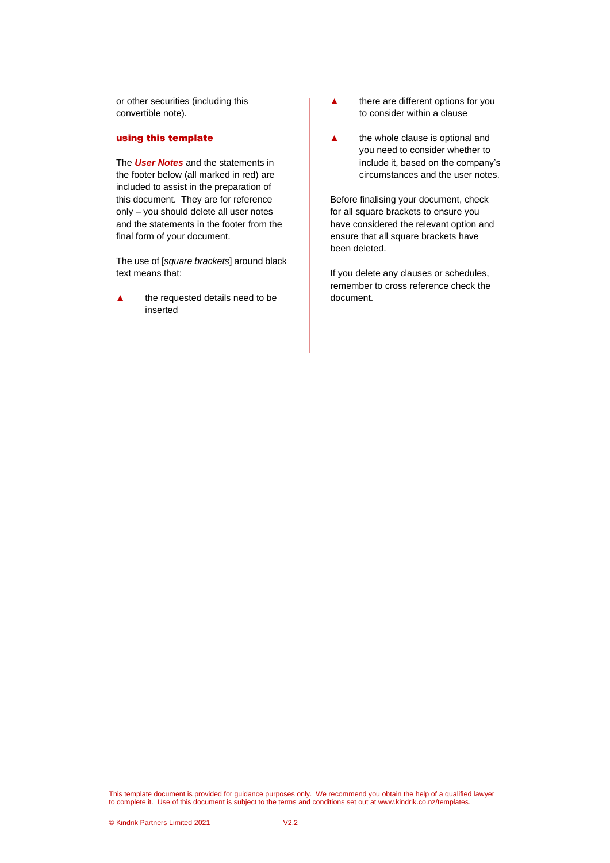or other securities (including this convertible note).

#### using this template

The *User Notes* and the statements in the footer below (all marked in red) are included to assist in the preparation of this document. They are for reference only – you should delete all user notes and the statements in the footer from the final form of your document.

The use of [*square brackets*] around black text means that:

**▲** the requested details need to be inserted

- **▲** there are different options for you to consider within a clause
- **▲** the whole clause is optional and you need to consider whether to include it, based on the company's circumstances and the user notes.

Before finalising your document, check for all square brackets to ensure you have considered the relevant option and ensure that all square brackets have been deleted.

If you delete any clauses or schedules, remember to cross reference check the document.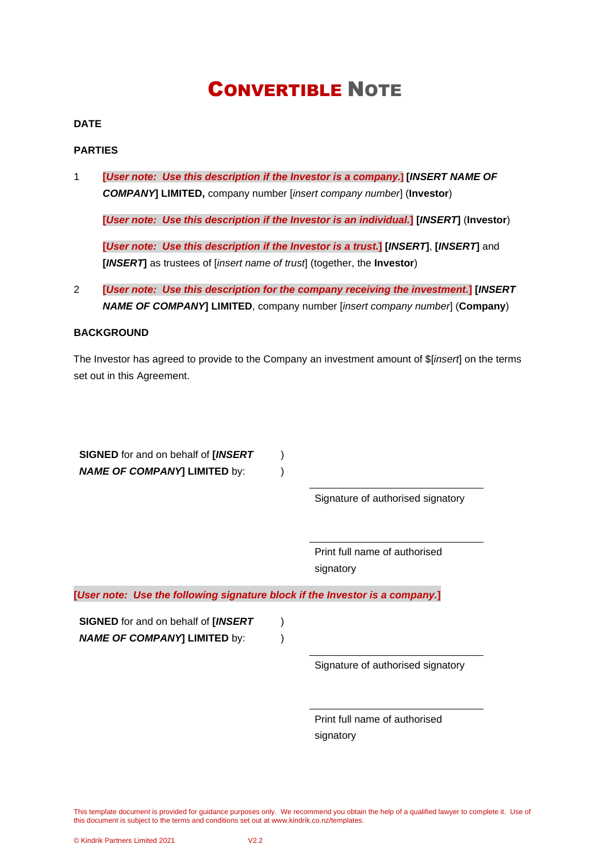# CONVERTIBLE NOTE

# **DATE**

# **PARTIES**

1 **[***User note: Use this description if the Investor is a company.***] [***INSERT NAME OF COMPANY***] LIMITED,** company number [*insert company number*] (**Investor**)

**[***User note: Use this description if the Investor is an individual.***] [***INSERT***]** (**Investor**)

**[***User note: Use this description if the Investor is a trust.***] [***INSERT***]**, **[***INSERT***]** and **[***INSERT***]** as trustees of [*insert name of trust*] (together, the **Investor**)

2 **[***User note: Use this description for the company receiving the investment.***] [***INSERT NAME OF COMPANY***] LIMITED**, company number [*insert company number*] (**Company**)

# **BACKGROUND**

The Investor has agreed to provide to the Company an investment amount of \$[*insert*] on the terms set out in this Agreement.

| <b>SIGNED</b> for and on behalf of [INSERT<br><b>NAME OF COMPANY] LIMITED by:</b> |                                            |
|-----------------------------------------------------------------------------------|--------------------------------------------|
|                                                                                   | Signature of authorised signatory          |
|                                                                                   | Print full name of authorised<br>signatory |
| [User note: Use the following signature block if the Investor is a company.]      |                                            |
| <b>SIGNED</b> for and on behalf of [INSERT<br><b>NAME OF COMPANY] LIMITED by:</b> |                                            |
|                                                                                   | Signature of authorised signatory          |
|                                                                                   |                                            |
|                                                                                   | Print full name of authorised              |
|                                                                                   | signatory                                  |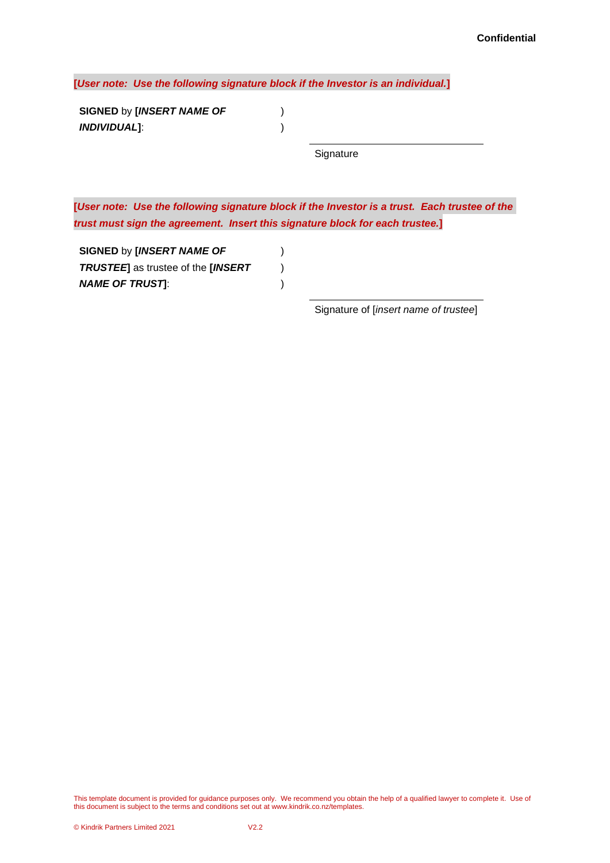**[***User note: Use the following signature block if the Investor is an individual.***]**

) )

**SIGNED** by **[***INSERT NAME OF INDIVIDUAL***]**:

**Signature** 

**[***User note: Use the following signature block if the Investor is a trust. Each trustee of the trust must sign the agreement. Insert this signature block for each trustee.***]**

> ) ) )

**SIGNED** by **[***INSERT NAME OF TRUSTEE***]** as trustee of the **[***INSERT NAME OF TRUST***]**:

Signature of [*insert name of trustee*]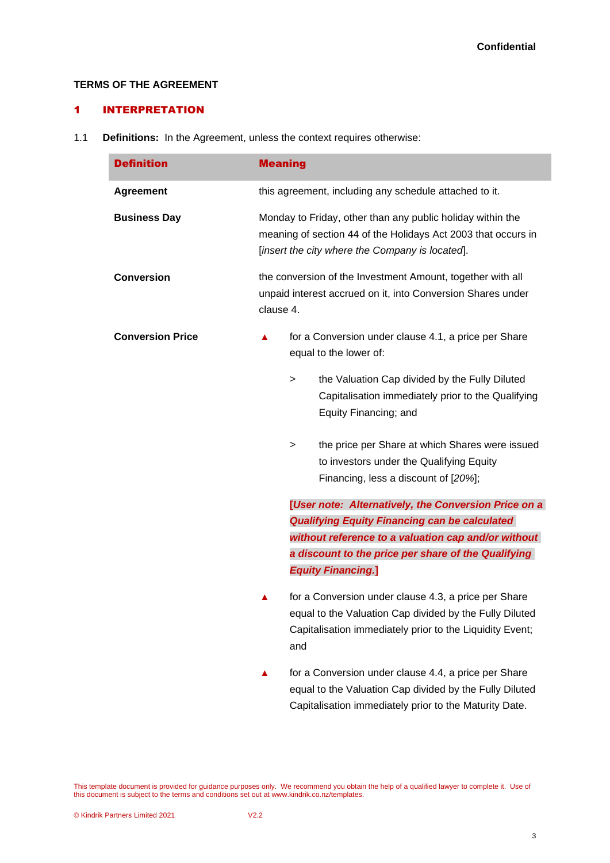# **TERMS OF THE AGREEMENT**

# 1 INTERPRETATION

1.1 **Definitions:** In the Agreement, unless the context requires otherwise:

| <b>Definition</b>       | <b>Meaning</b> |                                                                                                                                                                                    |
|-------------------------|----------------|------------------------------------------------------------------------------------------------------------------------------------------------------------------------------------|
| <b>Agreement</b>        |                | this agreement, including any schedule attached to it.                                                                                                                             |
| <b>Business Day</b>     |                | Monday to Friday, other than any public holiday within the<br>meaning of section 44 of the Holidays Act 2003 that occurs in<br>[insert the city where the Company is located].     |
| <b>Conversion</b>       | clause 4.      | the conversion of the Investment Amount, together with all<br>unpaid interest accrued on it, into Conversion Shares under                                                          |
| <b>Conversion Price</b> | ▲              | for a Conversion under clause 4.1, a price per Share<br>equal to the lower of:                                                                                                     |
|                         |                | the Valuation Cap divided by the Fully Diluted<br>$\rm{>}$<br>Capitalisation immediately prior to the Qualifying<br>Equity Financing; and                                          |
|                         |                | the price per Share at which Shares were issued<br>$\rm{>}$<br>to investors under the Qualifying Equity<br>Financing, less a discount of [20%];                                    |
|                         |                | [User note: Alternatively, the Conversion Price on a                                                                                                                               |
|                         |                | <b>Qualifying Equity Financing can be calculated</b><br>without reference to a valuation cap and/or without                                                                        |
|                         |                | a discount to the price per share of the Qualifying<br><b>Equity Financing.]</b>                                                                                                   |
|                         | ▲              | for a Conversion under clause 4.3, a price per Share<br>equal to the Valuation Cap divided by the Fully Diluted<br>Capitalisation immediately prior to the Liquidity Event;<br>and |
|                         |                | for a Conversion under clause 4.4, a price per Share<br>equal to the Valuation Cap divided by the Fully Diluted                                                                    |

This template document is provided for guidance purposes only. We recommend you obtain the help of a qualified lawyer to complete it. Use of this document is subject to the terms and conditions set out at www.kindrik.co.nz/templates.

Capitalisation immediately prior to the Maturity Date.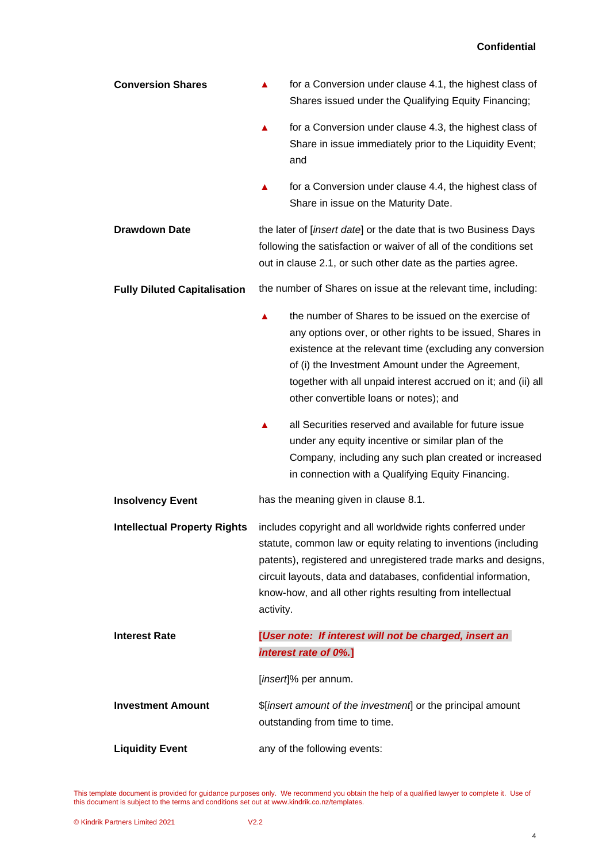| <b>Conversion Shares</b>            | for a Conversion under clause 4.1, the highest class of<br>▲<br>Shares issued under the Qualifying Equity Financing;                                                                                                                                                                                                                               |
|-------------------------------------|----------------------------------------------------------------------------------------------------------------------------------------------------------------------------------------------------------------------------------------------------------------------------------------------------------------------------------------------------|
|                                     | for a Conversion under clause 4.3, the highest class of<br>▲<br>Share in issue immediately prior to the Liquidity Event;<br>and                                                                                                                                                                                                                    |
|                                     | for a Conversion under clause 4.4, the highest class of<br>Share in issue on the Maturity Date.                                                                                                                                                                                                                                                    |
| <b>Drawdown Date</b>                | the later of [insert date] or the date that is two Business Days<br>following the satisfaction or waiver of all of the conditions set<br>out in clause 2.1, or such other date as the parties agree.                                                                                                                                               |
| <b>Fully Diluted Capitalisation</b> | the number of Shares on issue at the relevant time, including:                                                                                                                                                                                                                                                                                     |
|                                     | the number of Shares to be issued on the exercise of<br>▲<br>any options over, or other rights to be issued, Shares in<br>existence at the relevant time (excluding any conversion<br>of (i) the Investment Amount under the Agreement,<br>together with all unpaid interest accrued on it; and (ii) all<br>other convertible loans or notes); and |
|                                     | all Securities reserved and available for future issue<br>under any equity incentive or similar plan of the<br>Company, including any such plan created or increased<br>in connection with a Qualifying Equity Financing.                                                                                                                          |
| <b>Insolvency Event</b>             | has the meaning given in clause 8.1.                                                                                                                                                                                                                                                                                                               |
| <b>Intellectual Property Rights</b> | includes copyright and all worldwide rights conferred under<br>statute, common law or equity relating to inventions (including<br>patents), registered and unregistered trade marks and designs,<br>circuit layouts, data and databases, confidential information,<br>know-how, and all other rights resulting from intellectual<br>activity.      |
| <b>Interest Rate</b>                | [User note: If interest will not be charged, insert an                                                                                                                                                                                                                                                                                             |
|                                     | interest rate of 0%.]                                                                                                                                                                                                                                                                                                                              |
|                                     | [insert]% per annum.                                                                                                                                                                                                                                                                                                                               |
| <b>Investment Amount</b>            | \$[insert amount of the investment] or the principal amount<br>outstanding from time to time.                                                                                                                                                                                                                                                      |
| <b>Liquidity Event</b>              | any of the following events:                                                                                                                                                                                                                                                                                                                       |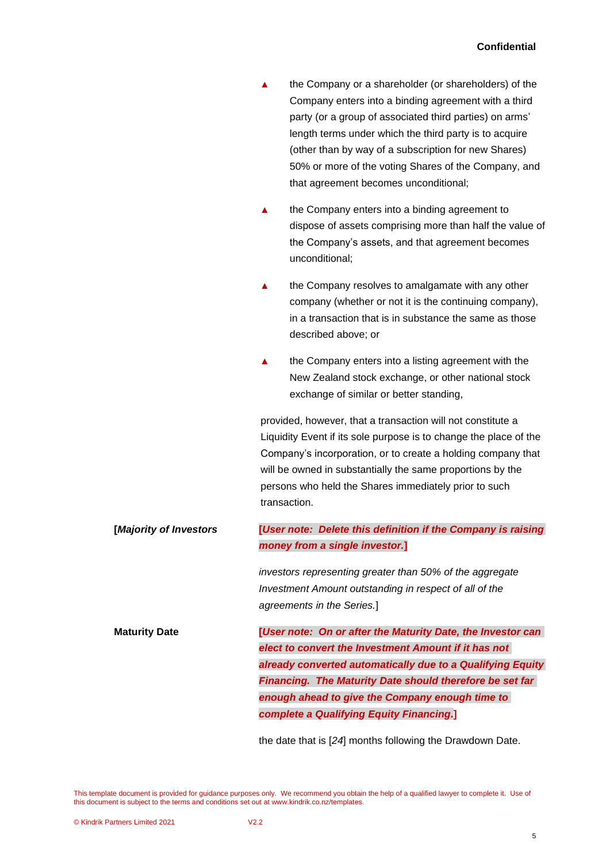| the Company or a shareholder (or shareholders) of the   |
|---------------------------------------------------------|
| Company enters into a binding agreement with a third    |
| party (or a group of associated third parties) on arms' |
| length terms under which the third party is to acquire  |
| (other than by way of a subscription for new Shares)    |
| 50% or more of the voting Shares of the Company, and    |
| that agreement becomes unconditional;                   |
|                                                         |

- the Company enters into a binding agreement to dispose of assets comprising more than half the value of the Company's assets, and that agreement becomes unconditional;
- **▲** the Company resolves to amalgamate with any other company (whether or not it is the continuing company), in a transaction that is in substance the same as those described above; or
- **▲** the Company enters into a listing agreement with the New Zealand stock exchange, or other national stock exchange of similar or better standing,

provided, however, that a transaction will not constitute a Liquidity Event if its sole purpose is to change the place of the Company's incorporation, or to create a holding company that will be owned in substantially the same proportions by the persons who held the Shares immediately prior to such transaction.

**[***Majority of Investors* **[***User note: Delete this definition if the Company is raising money from a single investor.***]**

> *investors representing greater than 50% of the aggregate Investment Amount outstanding in respect of all of the agreements in the Series.*]

**Maturity Date [***User note: On or after the Maturity Date, the Investor can elect to convert the Investment Amount if it has not already converted automatically due to a Qualifying Equity Financing. The Maturity Date should therefore be set far enough ahead to give the Company enough time to complete a Qualifying Equity Financing.***]**

the date that is [*24*] months following the Drawdown Date.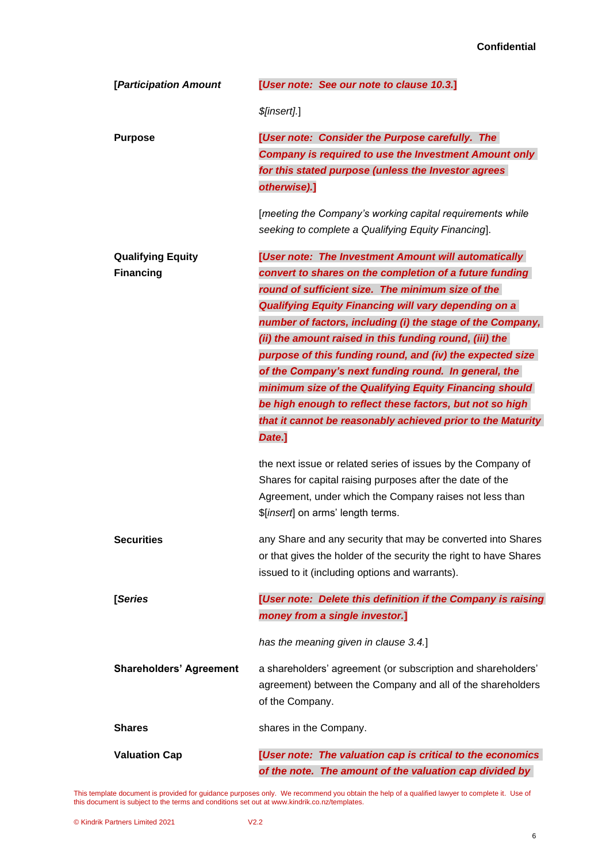| [Participation Amount          | [User note: See our note to clause 10.3.]                         |
|--------------------------------|-------------------------------------------------------------------|
|                                | \$[insert].]                                                      |
| <b>Purpose</b>                 | [User note: Consider the Purpose carefully. The                   |
|                                | <b>Company is required to use the Investment Amount only</b>      |
|                                | for this stated purpose (unless the Investor agrees               |
|                                | otherwise).]                                                      |
|                                | [meeting the Company's working capital requirements while         |
|                                | seeking to complete a Qualifying Equity Financing].               |
| <b>Qualifying Equity</b>       | [User note: The Investment Amount will automatically              |
| <b>Financing</b>               | convert to shares on the completion of a future funding           |
|                                | round of sufficient size. The minimum size of the                 |
|                                | <b>Qualifying Equity Financing will vary depending on a</b>       |
|                                | number of factors, including (i) the stage of the Company,        |
|                                | (ii) the amount raised in this funding round, (iii) the           |
|                                | purpose of this funding round, and (iv) the expected size         |
|                                | of the Company's next funding round. In general, the              |
|                                | minimum size of the Qualifying Equity Financing should            |
|                                | be high enough to reflect these factors, but not so high          |
|                                | that it cannot be reasonably achieved prior to the Maturity       |
|                                | Date.]                                                            |
|                                | the next issue or related series of issues by the Company of      |
|                                | Shares for capital raising purposes after the date of the         |
|                                | Agreement, under which the Company raises not less than           |
|                                | \$[insert] on arms' length terms.                                 |
| <b>Securities</b>              | any Share and any security that may be converted into Shares      |
|                                | or that gives the holder of the security the right to have Shares |
|                                | issued to it (including options and warrants).                    |
| [Series                        | [User note: Delete this definition if the Company is raising      |
|                                | money from a single investor.]                                    |
|                                | has the meaning given in clause 3.4.]                             |
| <b>Shareholders' Agreement</b> | a shareholders' agreement (or subscription and shareholders'      |
|                                | agreement) between the Company and all of the shareholders        |
|                                | of the Company.                                                   |
| <b>Shares</b>                  | shares in the Company.                                            |
| <b>Valuation Cap</b>           | [User note: The valuation cap is critical to the economics        |
|                                | of the note. The amount of the valuation cap divided by           |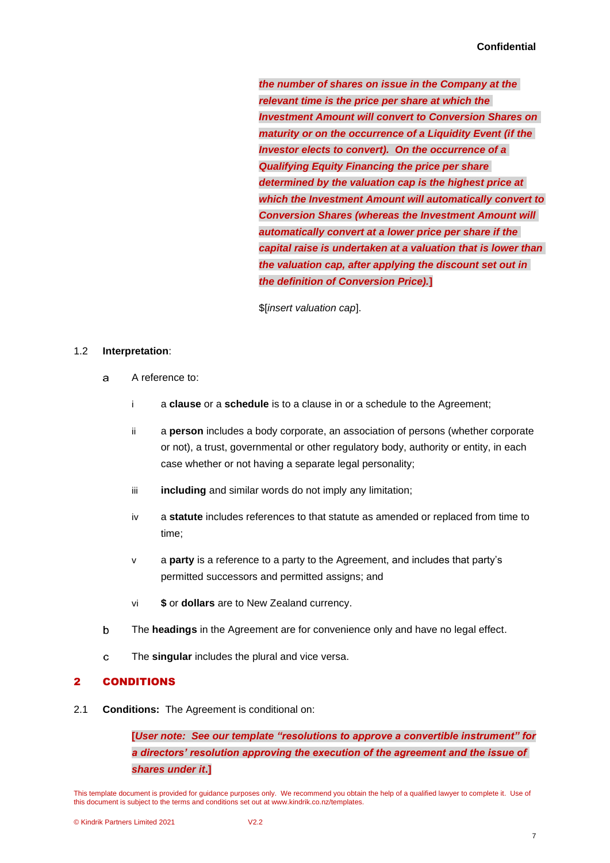*the number of shares on issue in the Company at the relevant time is the price per share at which the Investment Amount will convert to Conversion Shares on maturity or on the occurrence of a Liquidity Event (if the Investor elects to convert). On the occurrence of a Qualifying Equity Financing the price per share determined by the valuation cap is the highest price at which the Investment Amount will automatically convert to Conversion Shares (whereas the Investment Amount will automatically convert at a lower price per share if the capital raise is undertaken at a valuation that is lower than the valuation cap, after applying the discount set out in the definition of Conversion Price).***]**

\$[*insert valuation cap*].

## 1.2 **Interpretation**:

- $\mathbf{a}$ A reference to:
	- i a **clause** or a **schedule** is to a clause in or a schedule to the Agreement;
	- ii a **person** includes a body corporate, an association of persons (whether corporate or not), a trust, governmental or other regulatory body, authority or entity, in each case whether or not having a separate legal personality;
	- iii **including** and similar words do not imply any limitation;
	- iv a **statute** includes references to that statute as amended or replaced from time to time;
	- v a **party** is a reference to a party to the Agreement, and includes that party's permitted successors and permitted assigns; and
	- vi **\$** or **dollars** are to New Zealand currency.
- $\mathbf b$ The **headings** in the Agreement are for convenience only and have no legal effect.
- $\mathbf{C}$ The **singular** includes the plural and vice versa.

## <span id="page-8-1"></span>2 CONDITIONS

<span id="page-8-0"></span>2.1 **Conditions:** The Agreement is conditional on:

**[***User note: See our template "resolutions to approve a convertible instrument" for a directors' resolution approving the execution of the agreement and the issue of shares under it***.]**

This template document is provided for guidance purposes only. We recommend you obtain the help of a qualified lawyer to complete it. Use of this document is subject to the terms and conditions set out at www.kindrik.co.nz/templates.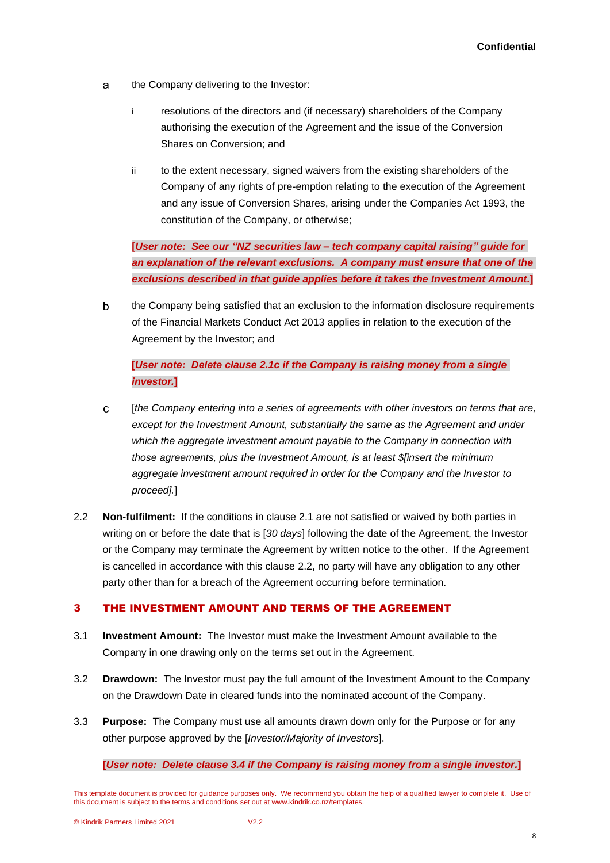- $\mathbf{a}$ the Company delivering to the Investor:
	- i resolutions of the directors and (if necessary) shareholders of the Company authorising the execution of the Agreement and the issue of the Conversion Shares on Conversion; and
	- ii to the extent necessary, signed waivers from the existing shareholders of the Company of any rights of pre-emption relating to the execution of the Agreement and any issue of Conversion Shares, arising under the Companies Act 1993, the constitution of the Company, or otherwise;

**[***User note: See our "NZ securities law – tech company capital raising" guide for an explanation of the relevant exclusions. A company must ensure that one of the exclusions described in that guide applies before it takes the Investment Amount.***]**

 $\mathbf b$ the Company being satisfied that an exclusion to the information disclosure requirements of the Financial Markets Conduct Act 2013 applies in relation to the execution of the Agreement by the Investor; and

**[***User note: Delete clause [2.1c](#page-9-0) if the Company is raising money from a single investor.***]**

- <span id="page-9-0"></span> $\mathbf C$ [*the Company entering into a series of agreements with other investors on terms that are, except for the Investment Amount, substantially the same as the Agreement and under which the aggregate investment amount payable to the Company in connection with those agreements, plus the Investment Amount, is at least \$[insert the minimum aggregate investment amount required in order for the Company and the Investor to proceed].*]
- <span id="page-9-1"></span>2.2 **Non-fulfilment:** If the conditions in clause [2.1](#page-8-0) are not satisfied or waived by both parties in writing on or before the date that is [*30 days*] following the date of the Agreement, the Investor or the Company may terminate the Agreement by written notice to the other. If the Agreement is cancelled in accordance with this clause [2.2,](#page-9-1) no party will have any obligation to any other party other than for a breach of the Agreement occurring before termination.

## 3 THE INVESTMENT AMOUNT AND TERMS OF THE AGREEMENT

- 3.1 **Investment Amount:** The Investor must make the Investment Amount available to the Company in one drawing only on the terms set out in the Agreement.
- 3.2 **Drawdown:** The Investor must pay the full amount of the Investment Amount to the Company on the Drawdown Date in cleared funds into the nominated account of the Company.
- 3.3 **Purpose:** The Company must use all amounts drawn down only for the Purpose or for any other purpose approved by the [*Investor/Majority of Investors*].

#### **[***User note: Delete clause [3.4](#page-10-4) if the Company is raising money from a single investor.***]**

This template document is provided for guidance purposes only. We recommend you obtain the help of a qualified lawyer to complete it. Use of this document is subject to the terms and conditions set out at www.kindrik.co.nz/templates.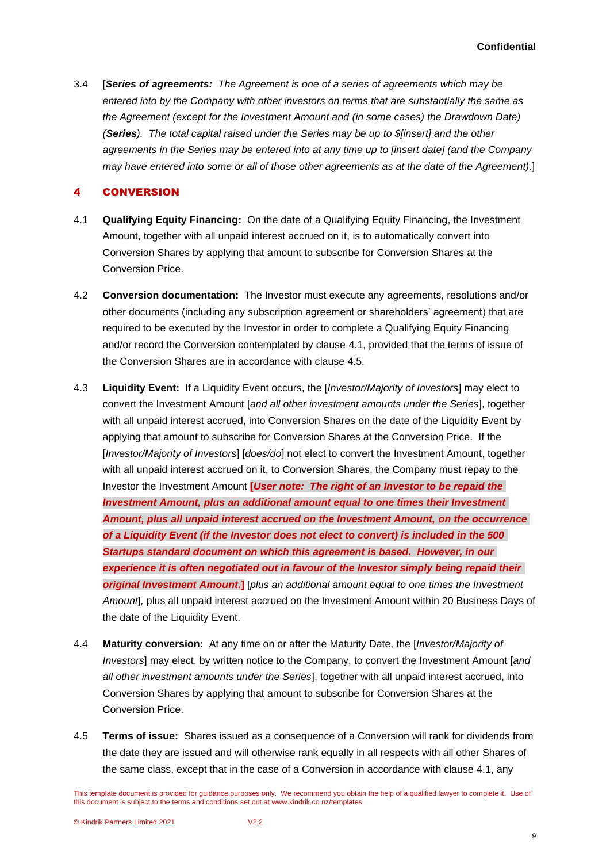<span id="page-10-4"></span>3.4 [*Series of agreements: The Agreement is one of a series of agreements which may be entered into by the Company with other investors on terms that are substantially the same as the Agreement (except for the Investment Amount and (in some cases) the Drawdown Date) (Series). The total capital raised under the Series may be up to \$[insert] and the other agreements in the Series may be entered into at any time up to [insert date] (and the Company may have entered into some or all of those other agreements as at the date of the Agreement).*]

# <span id="page-10-0"></span>4 CONVERSION

- <span id="page-10-1"></span>4.1 **Qualifying Equity Financing:** On the date of a Qualifying Equity Financing, the Investment Amount, together with all unpaid interest accrued on it, is to automatically convert into Conversion Shares by applying that amount to subscribe for Conversion Shares at the Conversion Price.
- 4.2 **Conversion documentation:** The Investor must execute any agreements, resolutions and/or other documents (including any subscription agreement or shareholders' agreement) that are required to be executed by the Investor in order to complete a Qualifying Equity Financing and/or record the Conversion contemplated by clause [4.1,](#page-10-1) provided that the terms of issue of the Conversion Shares are in accordance with clause [4.5.](#page-10-5)
- <span id="page-10-2"></span>4.3 **Liquidity Event:** If a Liquidity Event occurs, the [*Investor/Majority of Investors*] may elect to convert the Investment Amount [*and all other investment amounts under the Series*], together with all unpaid interest accrued, into Conversion Shares on the date of the Liquidity Event by applying that amount to subscribe for Conversion Shares at the Conversion Price. If the [*Investor/Majority of Investors*] [*does/do*] not elect to convert the Investment Amount, together with all unpaid interest accrued on it, to Conversion Shares, the Company must repay to the Investor the Investment Amount **[***User note: The right of an Investor to be repaid the Investment Amount, plus an additional amount equal to one times their Investment Amount, plus all unpaid interest accrued on the Investment Amount, on the occurrence of a Liquidity Event (if the Investor does not elect to convert) is included in the 500 Startups standard document on which this agreement is based. However, in our experience it is often negotiated out in favour of the Investor simply being repaid their original Investment Amount.***]** [*plus an additional amount equal to one times the Investment Amount*]*,* plus all unpaid interest accrued on the Investment Amount within 20 Business Days of the date of the Liquidity Event.
- <span id="page-10-3"></span>4.4 **Maturity conversion:** At any time on or after the Maturity Date, the [*Investor/Majority of Investors*] may elect, by written notice to the Company, to convert the Investment Amount [*and all other investment amounts under the Series*], together with all unpaid interest accrued, into Conversion Shares by applying that amount to subscribe for Conversion Shares at the Conversion Price.
- <span id="page-10-5"></span>4.5 **Terms of issue:** Shares issued as a consequence of a Conversion will rank for dividends from the date they are issued and will otherwise rank equally in all respects with all other Shares of the same class, except that in the case of a Conversion in accordance with clause [4.1,](#page-10-1) any

9

This template document is provided for guidance purposes only. We recommend you obtain the help of a qualified lawyer to complete it. Use of this document is subject to the terms and conditions set out at www.kindrik.co.nz/templates.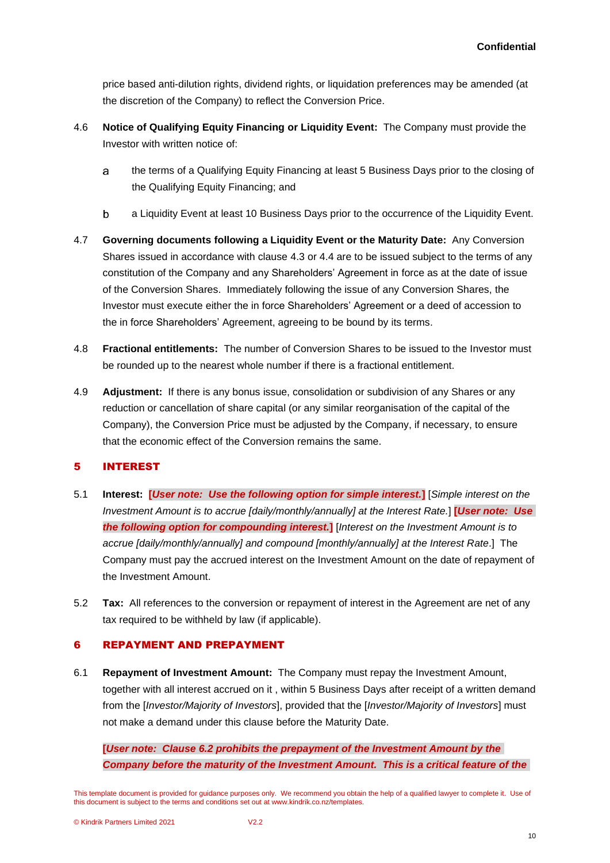price based anti-dilution rights, dividend rights, or liquidation preferences may be amended (at the discretion of the Company) to reflect the Conversion Price.

- 4.6 **Notice of Qualifying Equity Financing or Liquidity Event:** The Company must provide the Investor with written notice of:
	- the terms of a Qualifying Equity Financing at least 5 Business Days prior to the closing of a the Qualifying Equity Financing; and
	- b a Liquidity Event at least 10 Business Days prior to the occurrence of the Liquidity Event.
- 4.7 **Governing documents following a Liquidity Event or the Maturity Date:** Any Conversion Shares issued in accordance with clause [4.3](#page-10-2) or [4.4](#page-10-3) are to be issued subject to the terms of any constitution of the Company and any Shareholders' Agreement in force as at the date of issue of the Conversion Shares. Immediately following the issue of any Conversion Shares, the Investor must execute either the in force Shareholders' Agreement or a deed of accession to the in force Shareholders' Agreement, agreeing to be bound by its terms.
- 4.8 **Fractional entitlements:** The number of Conversion Shares to be issued to the Investor must be rounded up to the nearest whole number if there is a fractional entitlement.
- 4.9 **Adjustment:** If there is any bonus issue, consolidation or subdivision of any Shares or any reduction or cancellation of share capital (or any similar reorganisation of the capital of the Company), the Conversion Price must be adjusted by the Company, if necessary, to ensure that the economic effect of the Conversion remains the same.

# 5 INTEREST

- 5.1 **Interest: [***User note: Use the following option for simple interest.***]** [*Simple interest on the Investment Amount is to accrue [daily/monthly/annually] at the Interest Rate.*] **[***User note: Use the following option for compounding interest.***]** [*Interest on the Investment Amount is to accrue [daily/monthly/annually] and compound [monthly/annually] at the Interest Rate*.] The Company must pay the accrued interest on the Investment Amount on the date of repayment of the Investment Amount.
- 5.2 **Tax:** All references to the conversion or repayment of interest in the Agreement are net of any tax required to be withheld by law (if applicable).

# 6 REPAYMENT AND PREPAYMENT

6.1 **Repayment of Investment Amount:** The Company must repay the Investment Amount, together with all interest accrued on it , within 5 Business Days after receipt of a written demand from the [*Investor/Majority of Investors*], provided that the [*Investor/Majority of Investors*] must not make a demand under this clause before the Maturity Date.

**[***User note: Clause 6.2 prohibits the prepayment of the Investment Amount by the Company before the maturity of the Investment Amount. This is a critical feature of the* 

This template document is provided for guidance purposes only. We recommend you obtain the help of a qualified lawyer to complete it. Use of this document is subject to the terms and conditions set out at www.kindrik.co.nz/templates.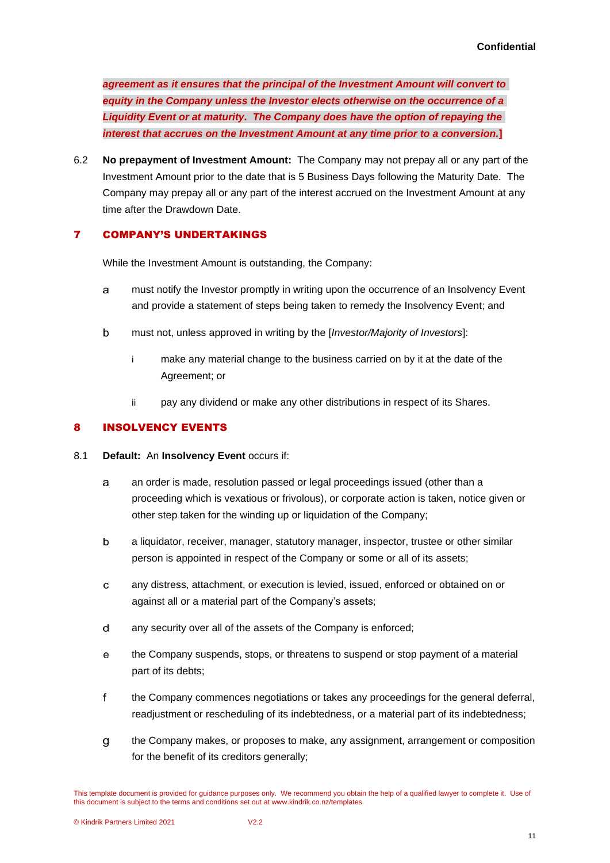*agreement as it ensures that the principal of the Investment Amount will convert to equity in the Company unless the Investor elects otherwise on the occurrence of a Liquidity Event or at maturity. The Company does have the option of repaying the interest that accrues on the Investment Amount at any time prior to a conversion.***]**

6.2 **No prepayment of Investment Amount:** The Company may not prepay all or any part of the Investment Amount prior to the date that is 5 Business Days following the Maturity Date. The Company may prepay all or any part of the interest accrued on the Investment Amount at any time after the Drawdown Date.

# 7 COMPANY'S UNDERTAKINGS

While the Investment Amount is outstanding, the Company:

- a must notify the Investor promptly in writing upon the occurrence of an Insolvency Event and provide a statement of steps being taken to remedy the Insolvency Event; and
- $\mathbf b$ must not, unless approved in writing by the [*Investor/Majority of Investors*]:
	- i make any material change to the business carried on by it at the date of the Agreement; or
	- ii pay any dividend or make any other distributions in respect of its Shares.

# 8 INSOLVENCY EVENTS

- <span id="page-12-1"></span><span id="page-12-0"></span>8.1 **Default:** An **Insolvency Event** occurs if:
	- an order is made, resolution passed or legal proceedings issued (other than a a proceeding which is vexatious or frivolous), or corporate action is taken, notice given or other step taken for the winding up or liquidation of the Company;
	- b a liquidator, receiver, manager, statutory manager, inspector, trustee or other similar person is appointed in respect of the Company or some or all of its assets;
	- any distress, attachment, or execution is levied, issued, enforced or obtained on or  $\mathbf{C}$ against all or a material part of the Company's assets;
	- $\mathbf d$ any security over all of the assets of the Company is enforced;
	- $\mathsf{e}\,$ the Company suspends, stops, or threatens to suspend or stop payment of a material part of its debts;
	- $\mathsf{f}$ the Company commences negotiations or takes any proceedings for the general deferral, readjustment or rescheduling of its indebtedness, or a material part of its indebtedness;
	- the Company makes, or proposes to make, any assignment, arrangement or composition g for the benefit of its creditors generally;

This template document is provided for guidance purposes only. We recommend you obtain the help of a qualified lawyer to complete it. Use of this document is subject to the terms and conditions set out at www.kindrik.co.nz/templates.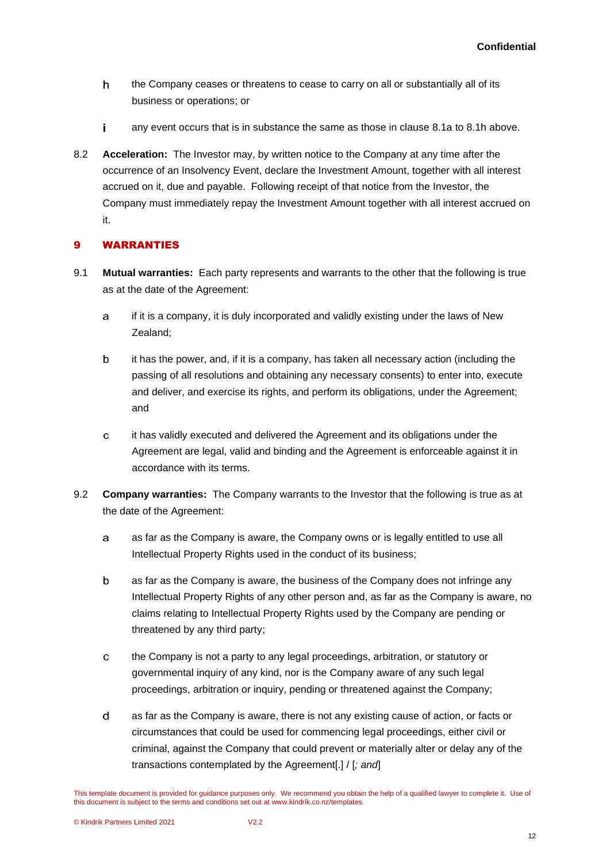- <span id="page-13-0"></span> $\mathsf{h}$ the Company ceases or threatens to cease to carry on all or substantially all of its business or operations; or
- i. any event occurs that is in substance the same as those in clause [8.1a](#page-12-1) to [8.1h](#page-13-0) above.
- 8.2 **Acceleration:** The Investor may, by written notice to the Company at any time after the occurrence of an Insolvency Event, declare the Investment Amount, together with all interest accrued on it, due and payable. Following receipt of that notice from the Investor, the Company must immediately repay the Investment Amount together with all interest accrued on it.

# <span id="page-13-2"></span>9 WARRANTIES

- 9.1 **Mutual warranties:** Each party represents and warrants to the other that the following is true as at the date of the Agreement:
	- if it is a company, it is duly incorporated and validly existing under the laws of New  $\mathbf{a}$ Zealand;
	- it has the power, and, if it is a company, has taken all necessary action (including the b passing of all resolutions and obtaining any necessary consents) to enter into, execute and deliver, and exercise its rights, and perform its obligations, under the Agreement; and
	- it has validly executed and delivered the Agreement and its obligations under the  $\mathbf{c}$ Agreement are legal, valid and binding and the Agreement is enforceable against it in accordance with its terms.
- <span id="page-13-1"></span>9.2 **Company warranties:** The Company warrants to the Investor that the following is true as at the date of the Agreement:
	- a as far as the Company is aware, the Company owns or is legally entitled to use all Intellectual Property Rights used in the conduct of its business;
	- $\mathbf b$ as far as the Company is aware, the business of the Company does not infringe any Intellectual Property Rights of any other person and, as far as the Company is aware, no claims relating to Intellectual Property Rights used by the Company are pending or threatened by any third party;
	- the Company is not a party to any legal proceedings, arbitration, or statutory or  $\mathbf{C}$ governmental inquiry of any kind, nor is the Company aware of any such legal proceedings, arbitration or inquiry, pending or threatened against the Company;
	- d as far as the Company is aware, there is not any existing cause of action, or facts or circumstances that could be used for commencing legal proceedings, either civil or criminal, against the Company that could prevent or materially alter or delay any of the transactions contemplated by the Agreement[.] / [*; and*]

This template document is provided for guidance purposes only. We recommend you obtain the help of a qualified lawyer to complete it. Use of this document is subject to the terms and conditions set out at www.kindrik.co.nz/templates.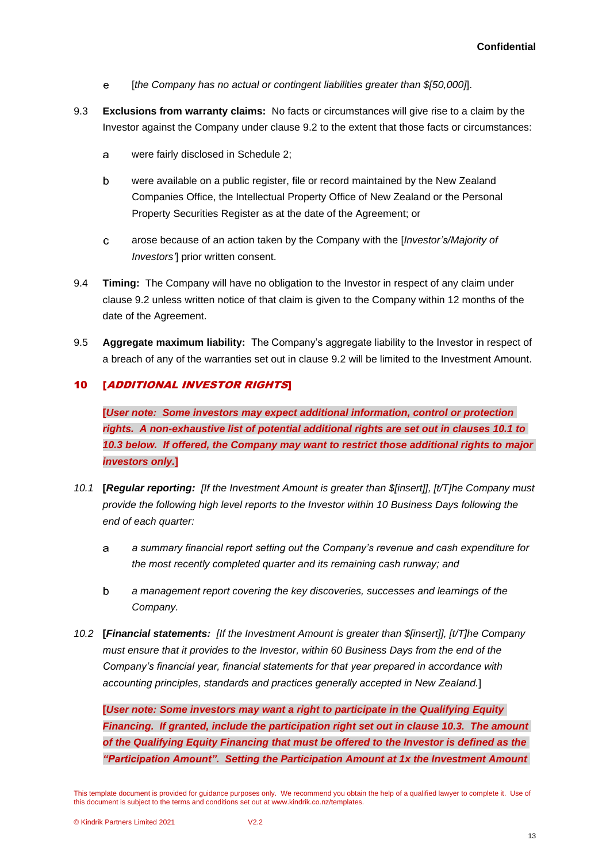- $\mathbf{e}$ [*the Company has no actual or contingent liabilities greater than \$[50,000]*].
- 9.3 **Exclusions from warranty claims:** No facts or circumstances will give rise to a claim by the Investor against the Company under clause [9.2](#page-13-1) to the extent that those facts or circumstances:
	- were fairly disclosed in Schedule 2; a
	- were available on a public register, file or record maintained by the New Zealand b Companies Office, the Intellectual Property Office of New Zealand or the Personal Property Securities Register as at the date of the Agreement; or
	- $\mathbf{c}$ arose because of an action taken by the Company with the [*Investor's/Majority of Investors'*] prior written consent.
- 9.4 **Timing:** The Company will have no obligation to the Investor in respect of any claim under clause [9.2](#page-13-1) unless written notice of that claim is given to the Company within 12 months of the date of the Agreement.
- 9.5 **Aggregate maximum liability:** The Company's aggregate liability to the Investor in respect of a breach of any of the warranties set out in clause [9.2](#page-13-1) will be limited to the Investment Amount.

# <span id="page-14-0"></span>10 [ADDITIONAL INVESTOR RIGHTS]

**[***User note: Some investors may expect additional information, control or protection rights. A non-exhaustive list of potential additional rights are set out in clauses 10.1 to 10.3 below. If offered, the Company may want to restrict those additional rights to major investors only.***]**

- *10.1* **[***Regular reporting: [If the Investment Amount is greater than \$[insert]], [t/T]he Company must provide the following high level reports to the Investor within 10 Business Days following the end of each quarter:*
	- *a summary financial report setting out the Company's revenue and cash expenditure for*  a *the most recently completed quarter and its remaining cash runway; and*
	- $\mathbf b$ *a management report covering the key discoveries, successes and learnings of the Company.*
- *10.2* **[***Financial statements: [If the Investment Amount is greater than \$[insert]], [t/T]he Company must ensure that it provides to the Investor, within 60 Business Days from the end of the Company's financial year, financial statements for that year prepared in accordance with accounting principles, standards and practices generally accepted in New Zealand.*]

**[***User note: Some investors may want a right to participate in the Qualifying Equity Financing. If granted, include the participation right set out in clause 10.3. The amount of the Qualifying Equity Financing that must be offered to the Investor is defined as the "Participation Amount". Setting the Participation Amount at 1x the Investment Amount* 

This template document is provided for guidance purposes only. We recommend you obtain the help of a qualified lawyer to complete it. Use of this document is subject to the terms and conditions set out at www.kindrik.co.nz/templates.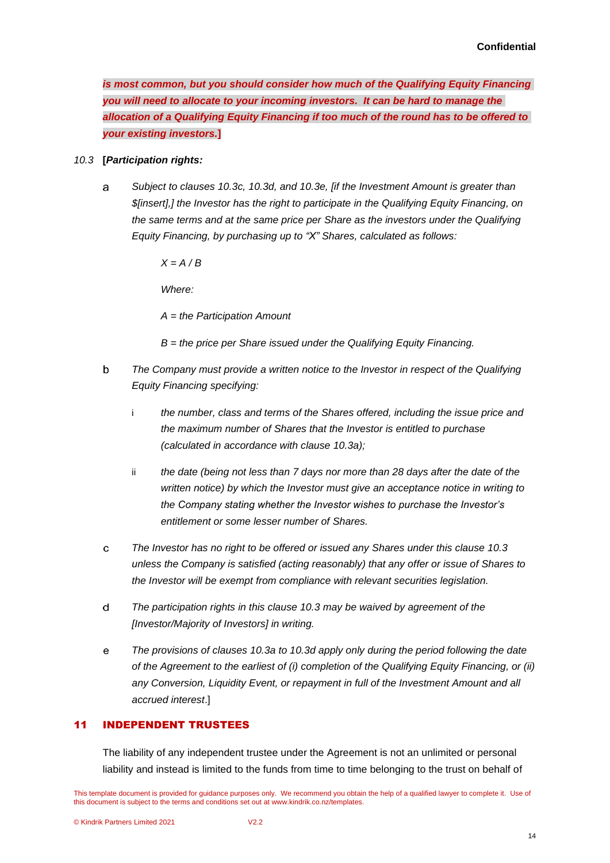*is most common, but you should consider how much of the Qualifying Equity Financing you will need to allocate to your incoming investors. It can be hard to manage the allocation of a Qualifying Equity Financing if too much of the round has to be offered to your existing investors.***]**

#### <span id="page-15-4"></span><span id="page-15-0"></span>*10.3* **[***Participation rights:*

a *Subject to clauses [10.3c,](#page-15-1) [10.3d,](#page-15-2) and [10.3](#page-15-0)[e,](#page-15-3) [if the Investment Amount is greater than \$[insert],] the Investor has the right to participate in the Qualifying Equity Financing, on the same terms and at the same price per Share as the investors under the Qualifying Equity Financing, by purchasing up to "X" Shares, calculated as follows:*

*X = A / B*

*Where:*

*A = the Participation Amount* 

- *B = the price per Share issued under the Qualifying Equity Financing.*
- *The Company must provide a written notice to the Investor in respect of the Qualifying*   $\mathbf b$ *Equity Financing specifying:*
	- i *the number, class and terms of the Shares offered, including the issue price and the maximum number of Shares that the Investor is entitled to purchase (calculated in accordance with clause [10.3a\)](#page-15-4);*
	- ii *the date (being not less than 7 days nor more than 28 days after the date of the written notice) by which the Investor must give an acceptance notice in writing to the Company stating whether the Investor wishes to purchase the Investor's entitlement or some lesser number of Shares.*
- <span id="page-15-1"></span>*The Investor has no right to be offered or issued any Shares under this clause [10.3](#page-15-0)*  $\mathbf{C}$ *unless the Company is satisfied (acting reasonably) that any offer or issue of Shares to the Investor will be exempt from compliance with relevant securities legislation.*
- <span id="page-15-2"></span> $\mathsf{d}$ *The participation rights in this clause [10.3](#page-15-0) may be waived by agreement of the [Investor/Majority of Investors] in writing.*
- <span id="page-15-3"></span> $\mathbf{e}$ *The provisions of clauses 10.3a to 10.3d apply only during the period following the date of the Agreement to the earliest of (i) completion of the Qualifying Equity Financing, or (ii)*  any Conversion, Liquidity Event, or repayment in full of the Investment Amount and all *accrued interest*.]

## 11 INDEPENDENT TRUSTEES

The liability of any independent trustee under the Agreement is not an unlimited or personal liability and instead is limited to the funds from time to time belonging to the trust on behalf of

This template document is provided for guidance purposes only. We recommend you obtain the help of a qualified lawyer to complete it. Use of this document is subject to the terms and conditions set out at www.kindrik.co.nz/templates.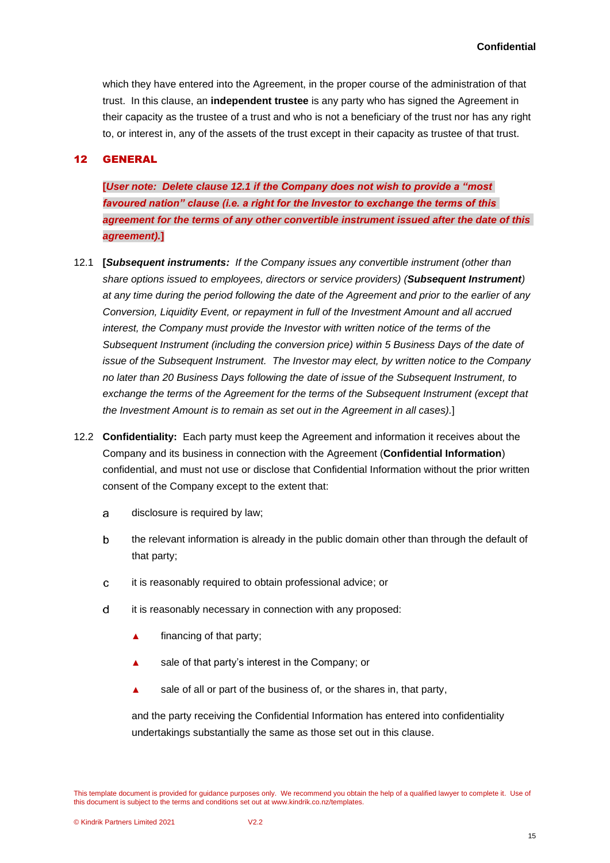which they have entered into the Agreement, in the proper course of the administration of that trust. In this clause, an **independent trustee** is any party who has signed the Agreement in their capacity as the trustee of a trust and who is not a beneficiary of the trust nor has any right to, or interest in, any of the assets of the trust except in their capacity as trustee of that trust.

### <span id="page-16-0"></span>12 GENERAL

**[***User note: Delete clause 12.1 if the Company does not wish to provide a "most favoured nation" clause (i.e. a right for the Investor to exchange the terms of this agreement for the terms of any other convertible instrument issued after the date of this agreement).***]**

- 12.1 **[***Subsequent instruments: If the Company issues any convertible instrument (other than share options issued to employees, directors or service providers) (Subsequent Instrument) at any time during the period following the date of the Agreement and prior to the earlier of any Conversion, Liquidity Event, or repayment in full of the Investment Amount and all accrued interest, the Company must provide the Investor with written notice of the terms of the Subsequent Instrument (including the conversion price) within 5 Business Days of the date of issue of the Subsequent Instrument. The Investor may elect, by written notice to the Company no later than 20 Business Days following the date of issue of the Subsequent Instrument, to exchange the terms of the Agreement for the terms of the Subsequent Instrument (except that the Investment Amount is to remain as set out in the Agreement in all cases).*]
- 12.2 **Confidentiality:** Each party must keep the Agreement and information it receives about the Company and its business in connection with the Agreement (**Confidential Information**) confidential, and must not use or disclose that Confidential Information without the prior written consent of the Company except to the extent that:
	- disclosure is required by law; a
	- $\mathbf b$ the relevant information is already in the public domain other than through the default of that party;
	- it is reasonably required to obtain professional advice; or C
	- $\mathsf{d}$ it is reasonably necessary in connection with any proposed:
		- **▲** financing of that party;
		- **▲** sale of that party's interest in the Company; or
		- sale of all or part of the business of, or the shares in, that party,

and the party receiving the Confidential Information has entered into confidentiality undertakings substantially the same as those set out in this clause.

This template document is provided for guidance purposes only. We recommend you obtain the help of a qualified lawyer to complete it. Use of this document is subject to the terms and conditions set out at www.kindrik.co.nz/templates.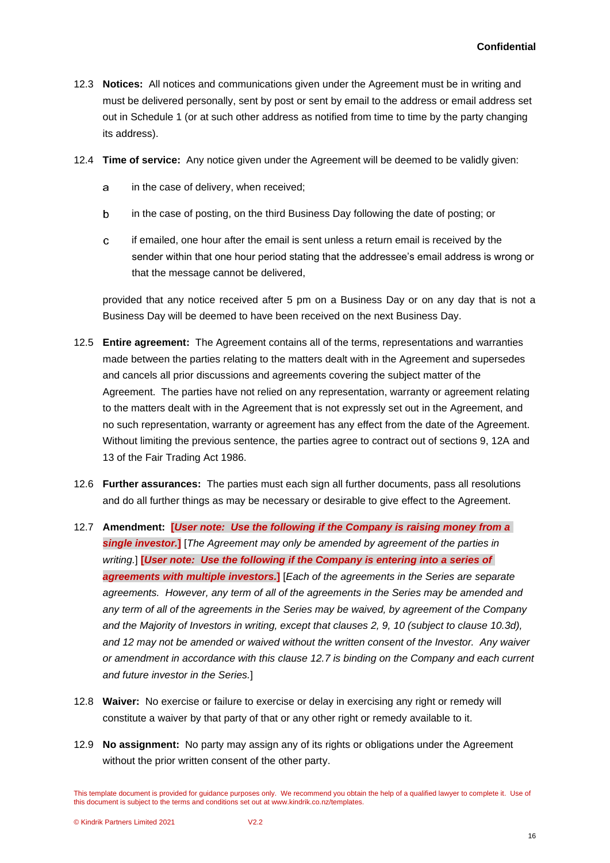- 12.3 **Notices:** All notices and communications given under the Agreement must be in writing and must be delivered personally, sent by post or sent by email to the address or email address set out in Schedule 1 (or at such other address as notified from time to time by the party changing its address).
- 12.4 **Time of service:** Any notice given under the Agreement will be deemed to be validly given:
	- a in the case of delivery, when received;
	- b in the case of posting, on the third Business Day following the date of posting; or
	- $\mathbf{C}$ if emailed, one hour after the email is sent unless a return email is received by the sender within that one hour period stating that the addressee's email address is wrong or that the message cannot be delivered,

provided that any notice received after 5 pm on a Business Day or on any day that is not a Business Day will be deemed to have been received on the next Business Day.

- 12.5 **Entire agreement:** The Agreement contains all of the terms, representations and warranties made between the parties relating to the matters dealt with in the Agreement and supersedes and cancels all prior discussions and agreements covering the subject matter of the Agreement. The parties have not relied on any representation, warranty or agreement relating to the matters dealt with in the Agreement that is not expressly set out in the Agreement, and no such representation, warranty or agreement has any effect from the date of the Agreement. Without limiting the previous sentence, the parties agree to contract out of sections 9, 12A and 13 of the Fair Trading Act 1986.
- 12.6 **Further assurances:** The parties must each sign all further documents, pass all resolutions and do all further things as may be necessary or desirable to give effect to the Agreement.
- 12.7 **Amendment: [***User note: Use the following if the Company is raising money from a single investor.***]** [*The Agreement may only be amended by agreement of the parties in writing.*] **[***User note: Use the following if the Company is entering into a series of agreements with multiple investors.***]** [*Each of the agreements in the Series are separate agreements. However, any term of all of the agreements in the Series may be amended and any term of all of the agreements in the Series may be waived, by agreement of the Company and the Majority of Investors in writing, except that clauses [2,](#page-8-1) [9,](#page-13-2) [10](#page-14-0) (subject to clause [10.3d\)](#page-15-2), and [12](#page-16-0) may not be amended or waived without the written consent of the Investor. Any waiver or amendment in accordance with this clause 12.7 is binding on the Company and each current and future investor in the Series.*]
- 12.8 **Waiver:** No exercise or failure to exercise or delay in exercising any right or remedy will constitute a waiver by that party of that or any other right or remedy available to it.
- 12.9 **No assignment:** No party may assign any of its rights or obligations under the Agreement without the prior written consent of the other party.

This template document is provided for guidance purposes only. We recommend you obtain the help of a qualified lawyer to complete it. Use of this document is subject to the terms and conditions set out at www.kindrik.co.nz/templates.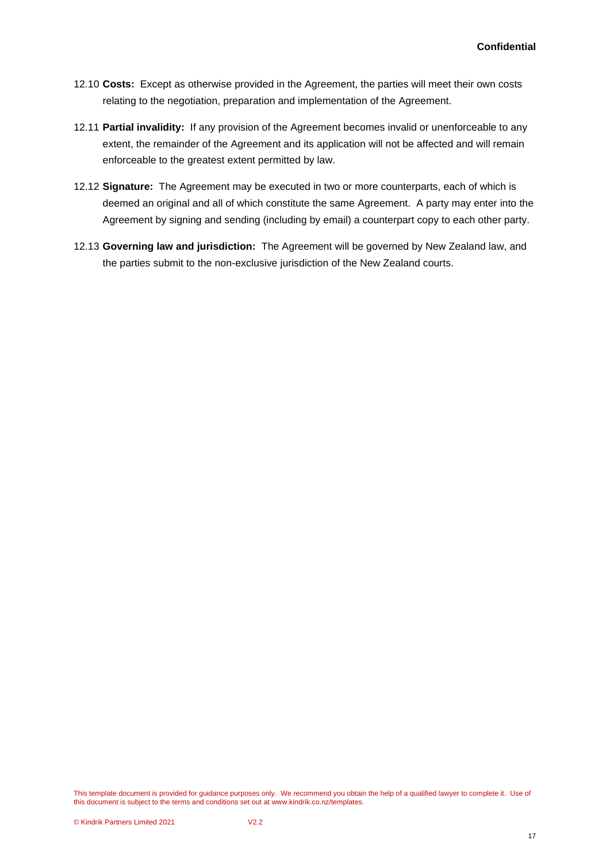- 12.10 **Costs:** Except as otherwise provided in the Agreement, the parties will meet their own costs relating to the negotiation, preparation and implementation of the Agreement.
- 12.11 **Partial invalidity:** If any provision of the Agreement becomes invalid or unenforceable to any extent, the remainder of the Agreement and its application will not be affected and will remain enforceable to the greatest extent permitted by law.
- 12.12 **Signature:** The Agreement may be executed in two or more counterparts, each of which is deemed an original and all of which constitute the same Agreement. A party may enter into the Agreement by signing and sending (including by email) a counterpart copy to each other party.
- 12.13 **Governing law and jurisdiction:** The Agreement will be governed by New Zealand law, and the parties submit to the non-exclusive jurisdiction of the New Zealand courts.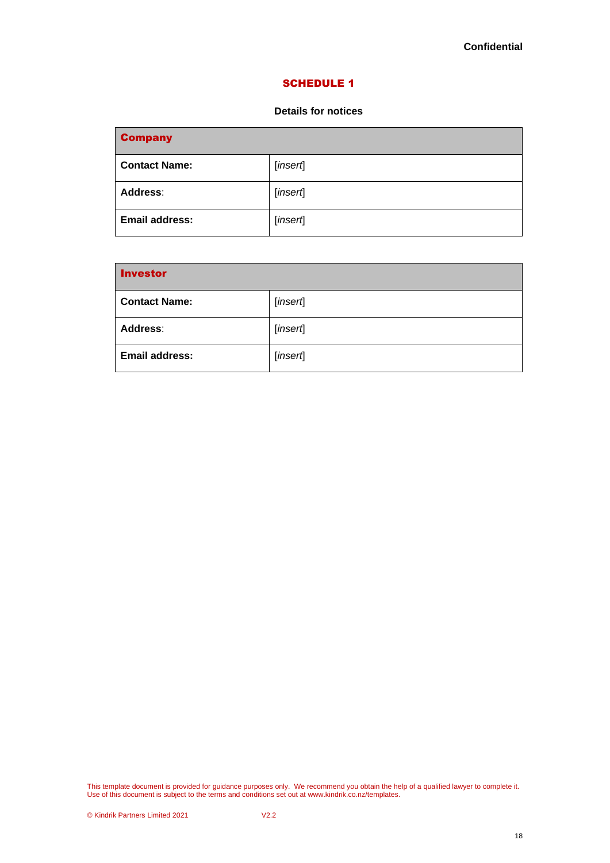#### SCHEDULE 1

### **Details for notices**

| <b>Company</b>        |          |
|-----------------------|----------|
| <b>Contact Name:</b>  | [insert] |
| <b>Address:</b>       | [insert] |
| <b>Email address:</b> | [insert] |

| <b>Investor</b>       |          |
|-----------------------|----------|
| <b>Contact Name:</b>  | [insert] |
| <b>Address:</b>       | [insert] |
| <b>Email address:</b> | [insert] |